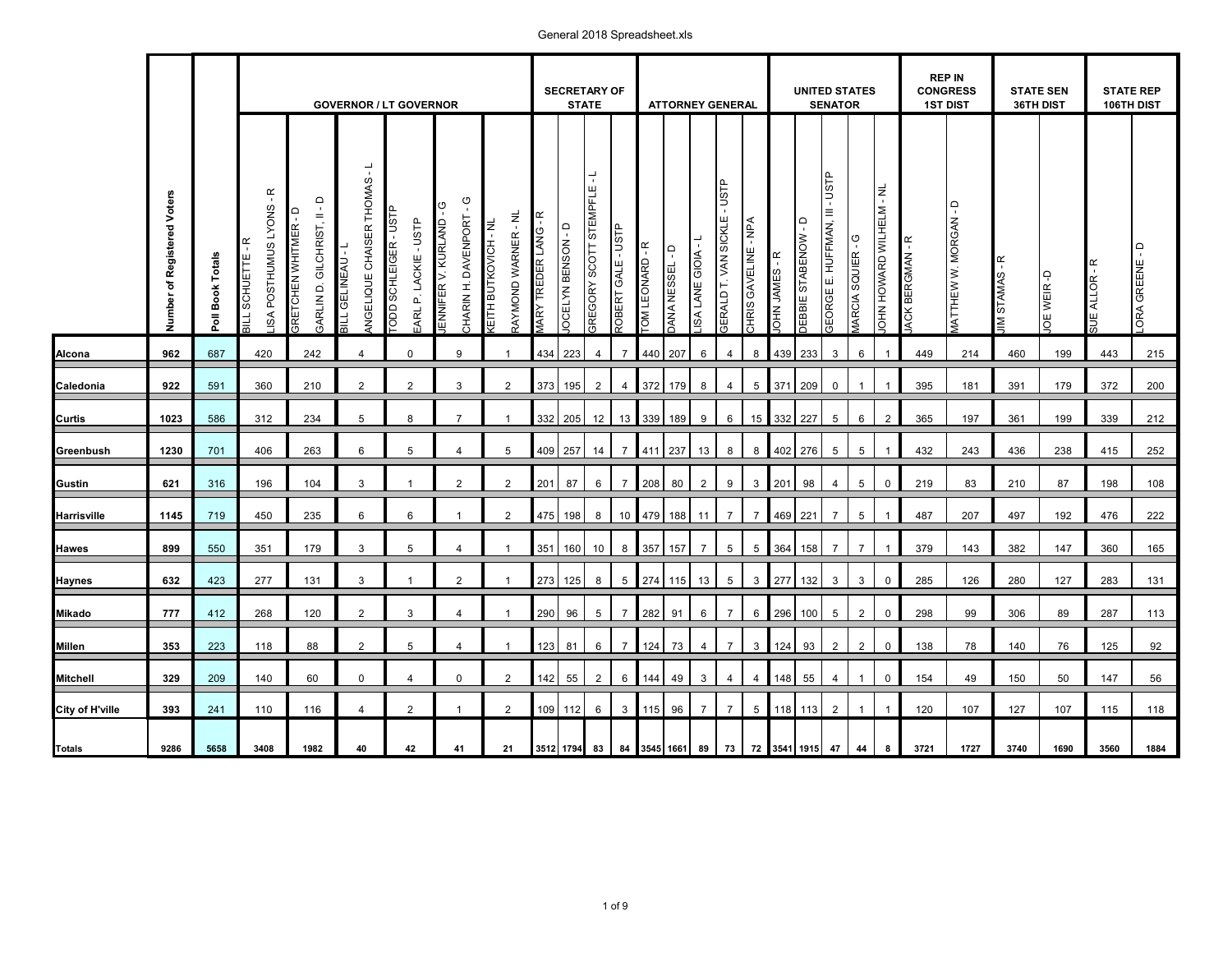#### **REP IN CONGRESS SECRETARY OF UNITED STATES STATE SEN STATE REP GOVERNOR / LT GOVERNOR <b>ATTORNEY GENERAL STATE SENATOR 1ST DIST 36TH DIST 106TH DIST** ÷ ANGELIQUE CHAISER THOMAS - L GREGORY SCOTT STEMPFLE - L GEORGE E. HUFFMAN, III - USTP GERALD T. VAN SICKLE - USTP JOHN HOWARD WILHELM - NL LISA POSTHUMUS LYONS - R **Totals <sup>9286</sup> <sup>5658</sup> <sup>3512</sup> <sup>1794</sup> <sup>83</sup> <sup>84</sup> <sup>3545</sup> <sup>1661</sup> <sup>89</sup> <sup>73</sup> <sup>72</sup> <sup>3541</sup> <sup>1915</sup> <sup>47</sup> <sup>44</sup> <sup>8</sup> <sup>3721</sup> <sup>1727</sup> <sup>3740</sup> <sup>1690</sup> <sup>3560</sup> <sup>1884</sup> Number of Registered Voters Poll Book Totals** GARLIN D. GILCHRIST, II - D CHARIN H. DAVENPORT - G MATTHEW W. MORGAN - D JENNIFER V. KURLAND - G TODD SCHLEIGER - USTP GRETCHEN WHITMER - D RAYMOND WARNER - NL MARY TREDER LANG - R EARL P. LACKIE - USTP KEITH BUTKOVICH - NL CHRIS GAVELINE - NPA DEBBIE STABENOW - D JOCELYN BENSON - D ROBERT GALE - USTP LISA LANE GIOIA - L MARCIA SQUIER - G JACK BERGMAN - R BILL SCHUETTE - R BILL GELINEAU - L TOM LEONARD - R LORA GREENE - D DANA NESSEL - D JOHN JAMES - R JIM STAMAS - R SUE ALLOR - R JOE WEIR -D 420 242 4  $\mathbf{0}$ 9 1 **Alcona 962 687 4**20 242 4 0 9 1 434 | 223 | 4 | 7 | 440 | 207 | 6 | 4 | 8 | 433 | 3 | 6 | 1 | 1449 | 214 | 1460 | 199 | 1443 | 360 210 2 2 3 2 **Caledonia 922** 591 373 195 2 4 372 179 8 4 5 371 209 0 1 1 395 181 391 179 372 200 7 5 1 **Curtis 1023** 586 332 205 12 13 339 189 9 6 15 332 227 5 6 2 365 197 361 199 339 212 312 8 234 406 263 6 5 4 5 **Greenbush 1230** 701 409 257 14 7 411 237 13 8 8 402 276 5 5 1 432 243 436 238 415 252 196 104 3 2 2 Gustin | 621 | 316 | 196 | 104 | 3 | 1 | 2 | 2 |201|87|6|7|208|80|2|9|3|201|98|4|5|0|219|83|210|87 | 198 | 108 1 450 235 6 6 2 **Harrisville ┃ 1145 ┃** 719 ┃ 450 ┃ 235 ┃ 6 ┃ 6 ┃ 1 ┃ 2 ┃475│198│8│10┃479│188│11│7│7┃469│221│7│5│1┃ 487 │ 207 ┃ 497 │ 192 ┃ 476 │ 222 1 351 179 3 5 4 1 **Hawes 899 550 351 179 3 5 4 1 351 | 160 | 10 | 8 | 357 | 157 | 7 | 5 | 5 | 364 | 158 | 7 | 7 | 1 | 379 | 143 382 | 147 360 | 165** 277 131 3 2 **Haynes 632 423 277 131 3 1 2 1 273 | 125 | 8 | 5 | 274 | 115 | 13 | 5 | 3 | 277 | 132 | 3 | 3 | 0 | 285 | 126 | 280 | 127 283 | 131** 1 1 268 120 2 3 **Mikado | 777 | 412 | 268 | 120 | 2 | 3 | 4 | 1 |290|96|5|7|282|91|6|7|6 |296|100|5|2|0| 298 | 99 | 306 | 89 | 287 | 113** 4 1 118 88 2 5 4 1 **Millen 353** 223 118 88 2 5 4 1 123 | 81 | 6 | 7 | 124 | 73 | 4 | 7 | 3 | 124 | 93 | 2 | 2 | 0 || 138 | 78 140 | 76 125 | 92 140 60 0 4 0 2 Mitchell 329 209 140 60 0 4 0 2 142 | 55 | 2 | 6 | 144 | 49 | 49 | 450 | 50 147 | 50 | 147 | 56 | 147 | 56 | 147 | 56 | 147 | 56 | 147 | 56 | 147 | 56 | 147 | 56 | 150 | 150 | 150 | 150 | 150 | 1 110 116 4 2 1 2 **City of H'ville 393** 241 109 112 6 3 115 96 7 7 5 118 113 2 1 1 120 107 127 107 115 118

## General 2018 Spreadsheet.xls

**3408**

**1982**

**40**

**42**

**41**

**21**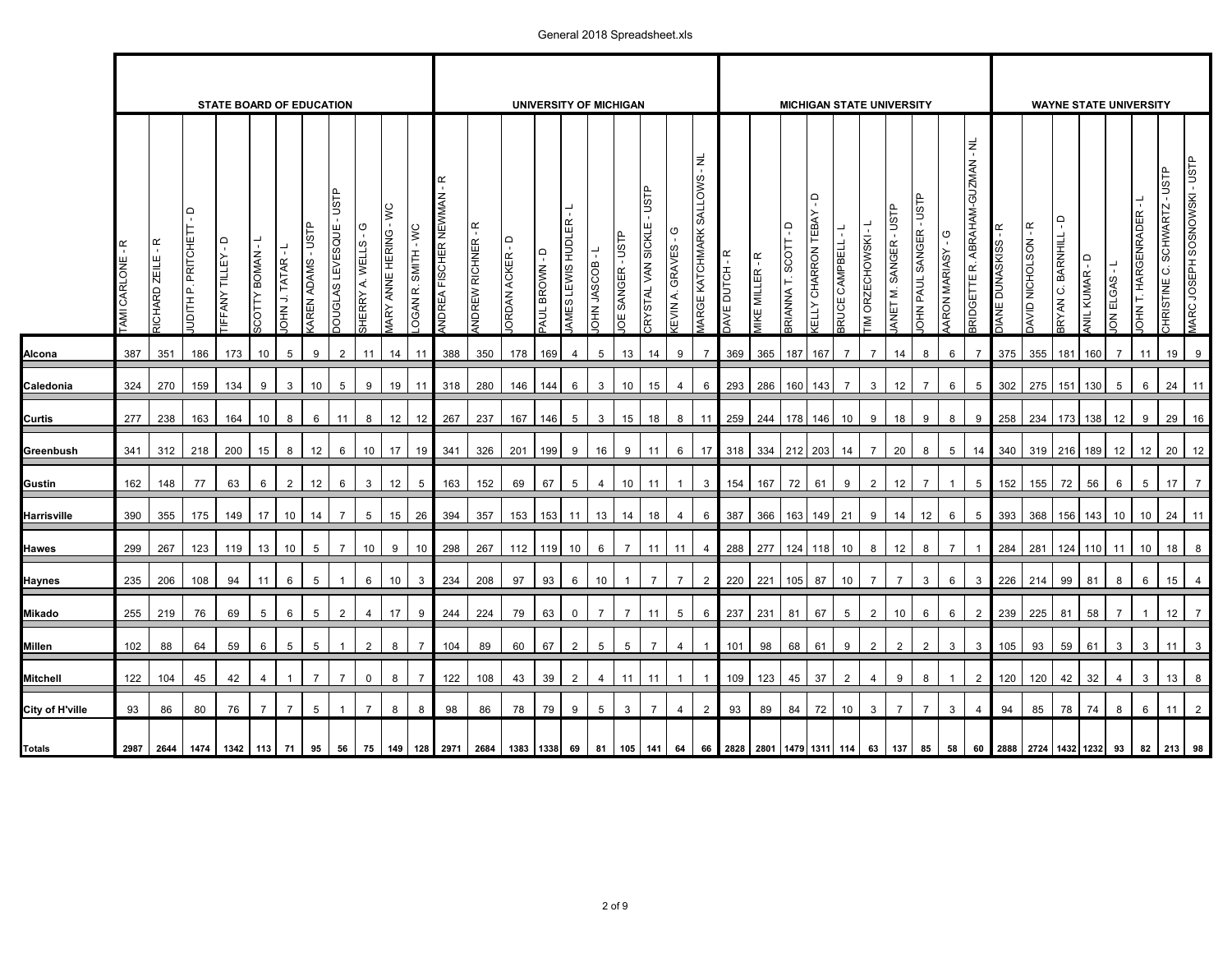## General 2018 Spreadsheet.xls

|                 |                          |                                      |                              | <b>STATE BOARD OF EDUCATION</b>  |                      |                |                            |                                |                                                  |                           |                    |                           |                                     |                       | <b>UNIVERSITY OF MICHIGAN</b> |                   |                    |                   |                                         |                                   |                               |                          |                             |                              |                                                     |                                                      |                | <b>MICHIGAN STATE UNIVERSITY</b>  |                         |                 |                                         |                                                   |                                                    |                  |                       | <b>WAYNE STATE UNIVERSITY</b> |                    |                                          |                              |
|-----------------|--------------------------|--------------------------------------|------------------------------|----------------------------------|----------------------|----------------|----------------------------|--------------------------------|--------------------------------------------------|---------------------------|--------------------|---------------------------|-------------------------------------|-----------------------|-------------------------------|-------------------|--------------------|-------------------|-----------------------------------------|-----------------------------------|-------------------------------|--------------------------|-----------------------------|------------------------------|-----------------------------------------------------|------------------------------------------------------|----------------|-----------------------------------|-------------------------|-----------------|-----------------------------------------|---------------------------------------------------|----------------------------------------------------|------------------|-----------------------|-------------------------------|--------------------|------------------------------------------|------------------------------|
|                 | $\propto$<br>AMI CARLONE | $\propto$<br>ZEILE<br><b>RICHARD</b> | $\Box$<br>UDITH P. PRITCHETT | $\overline{a}$<br>TIFFANY TILLEY | <b>I-MAMOBALICOS</b> | OHN J. TATAR   | <b>ALSN</b><br>AREN ADAMS- | USTP<br><b>OUGLAS LEVESQUE</b> | פ<br><b>WELLS</b><br>$\dot{\mathbf{r}}$<br>HERRY | ANNE HERING<br><b>MRY</b> | OGAN R. SMITH - WC | ĸ<br>NDREA FISCHER NEWMAN | $\propto$<br><b>WDREW RICHNER -</b> | $\Box$<br>ORDAN ACKER | AUL BROWN - D                 | AMES LEWIS HUDLER | <b>BOOSAL NHOI</b> | IOE SANGER - USTP | <b>ALSN</b><br><b>RYSTAL VAN SICKLE</b> | U<br><b><i>EVIN A. GRAVES</i></b> | ž,<br>MARGE KATCHMARK SALLOWS | ۴<br><b>DUTCH</b><br>AVE | <b><i>IIKE MILLER-R</i></b> | ؋<br><b>SRIANNA T. SCOTT</b> | $\mathsf{d}$<br><b>CHARRON TEBAY</b><br><b>ELLY</b> | $\overline{\phantom{0}}$<br>CAMPBELL<br><b>IRUCE</b> | IM ORZECHOWSKI | -usn-<br><b>SANGER</b><br>ANET M. | -UST<br>OHN PAUL SANGER | ARON MARIASY    | <b>BRIDGETTE R. ABRAHAM-GUZMAN - NL</b> | $\widetilde{\mathbf{K}}$<br><b>IANE DUNASKISS</b> | $\widetilde{\mathbf{K}}$<br><b>MAVID NICHOLSON</b> | RYAN C. BARNHILL | ؋<br><b>WIL KUMAR</b> | ON ELGAS                      | OHN T. HARGENRADER | <b>ALSIT</b><br>C. SCHWARTZ<br>CHRISTINE | MARC JOSEPH SOSNOWSKI - USTP |
| Alcona          | 387                      | 351                                  | 186                          | 173                              | 10 <sup>1</sup>      | 5              | 9                          | 2                              | 11                                               | 14                        | 11                 | 388                       | 350                                 | 178                   | 169                           | $\overline{4}$    | 5                  | 13                | 14                                      | 9                                 |                               | 369                      | 365                         | 187                          | 167                                                 | $\overline{7}$                                       | $\overline{7}$ | 14                                | 8                       | 6               |                                         | 375                                               | 355                                                | 181              | 160                   | $\overline{7}$                | 11                 | 19                                       | 9                            |
| Caledonia       | 324                      | 270                                  | 159                          | 134                              | 9                    | 3              | 10                         | 5                              | 9                                                | 19                        | 11                 | 318                       | 280                                 | 146                   | 144                           | $6\phantom{.}6$   | 3                  | 10                | 15                                      | $\overline{4}$                    | 6                             | 293                      | 286                         | 160                          | 143                                                 | $\overline{7}$                                       | 3              | 12                                | $\overline{7}$          | 6               | 5                                       | 302                                               | 275                                                | 151              | 130                   | $5\phantom{.0}$               | 6                  | 24                                       | 11                           |
| Curtis          | 277                      | 238                                  | 163                          | 164                              | 10 <sup>10</sup>     | 8              | 6                          | 11                             | 8                                                | 12                        | 12                 | 267                       | 237                                 | 167                   | 146                           | $5\phantom{.0}$   | 3                  | 15                | 18                                      | 8                                 | 11                            | 259                      | 244                         | 178                          | 146                                                 | 10                                                   | 9              | 18                                | 9                       | 8               | 9                                       | 258                                               | 234                                                | 173              | 138                   | 12                            | 9                  | 29                                       | 16                           |
| Greenbush       | 341                      | 312                                  | 218                          | 200                              | 15                   | 8              | 12                         | 6                              | 10                                               | 17                        | 19                 | 341                       | 326                                 | 201                   | 199                           | 9                 | 16                 | 9                 | 11                                      | 6                                 | 17                            | 318                      | 334                         | 212                          | 203                                                 | 14                                                   | $\overline{7}$ | 20                                | 8                       | $5\phantom{.0}$ | 14                                      | 340                                               | 319                                                | 216              | 189                   | 12                            | 12                 | 20                                       | 12                           |
| Gustin          | 162                      | 148                                  | 77                           | 63                               | 6                    | $\overline{2}$ | 12                         | 6                              | $\mathbf{3}$                                     | 12                        | $5\phantom{.0}$    | 163                       | 152                                 | 69                    | 67                            | $5\phantom{.0}$   | $\overline{4}$     | 10                | 11                                      |                                   | $\mathbf{3}$                  | 154                      | 167                         | 72                           | 61                                                  | 9                                                    | $\overline{2}$ | 12                                | $\overline{7}$          | $\mathbf{1}$    | 5                                       | 152                                               | 155                                                | 72               | 56                    | 6                             | 5                  | 17                                       | $\overline{7}$               |
| Harrisville     | 390                      | 355                                  | 175                          | 149                              | 17                   | 10             | 14                         | $\overline{7}$                 | 5                                                | 15                        | 26                 | 394                       | 357                                 | 153                   | 153                           | 11                | 13                 | 14                | 18                                      | $\overline{4}$                    | 6                             | 387                      | 366                         | 163                          | 149                                                 | 21                                                   | 9              | 14                                | 12                      | 6               | 5                                       | 393                                               | 368                                                | 156              | 143                   | 10                            | 10 <sup>1</sup>    | 24                                       | 11                           |
| Hawes           | 299                      | 267                                  | 123                          | 119                              | 13                   | 10             | $5\phantom{.0}$            | $\overline{7}$                 | 10                                               | 9                         | 10 <sup>1</sup>    | 298                       | 267                                 | 112                   | 119                           | 10                | 6                  | $\overline{7}$    | 11                                      | 11                                | $\overline{4}$                | 288                      | 277                         | 124                          | 118                                                 | 10                                                   | 8              | 12                                | 8                       | $\overline{7}$  |                                         | 284                                               | 281                                                | 124              | 110                   | 11                            | 10                 | 18                                       | 8                            |
| Haynes          | 235                      | 206                                  | 108                          | 94                               | 11                   | 6              | 5                          |                                | 6                                                | 10                        | 3                  | 234                       | 208                                 | 97                    | 93                            | 6                 | 10                 | $\overline{1}$    | $\overline{7}$                          | $\overline{7}$                    | $\overline{2}$                | 220                      | 221                         | 105                          | 87                                                  | 10                                                   | $\overline{7}$ | $\overline{7}$                    | 3                       | 6               | 3                                       | 226                                               | 214                                                | 99               | 81                    | 8                             | 6                  | 15                                       | $\overline{4}$               |
| Mikado          | 255                      | 219                                  | 76                           | 69                               | $5\phantom{.0}$      | $6\phantom{1}$ | $5\phantom{.0}$            | $\overline{2}$                 | $\overline{4}$                                   | 17                        | 9                  | 244                       | 224                                 | 79                    | 63                            | $\mathbf 0$       | $\overline{7}$     | $\overline{7}$    | 11                                      | $5\phantom{.0}$                   | 6                             | 237                      | 231                         | 81                           | 67                                                  | $\,$ 5 $\,$                                          | $\overline{2}$ | 10                                | $6\phantom{.}6$         | 6               | 2                                       | 239                                               | 225                                                | 81               | 58                    | $\overline{7}$                |                    | 12                                       | $\overline{7}$               |
| Millen          | 102                      | 88                                   | 64                           | 59                               | 6                    | 5              | 5                          |                                | $\overline{2}$                                   | 8                         | $\overline{7}$     | 104                       | 89                                  | 60                    | 67                            | $\overline{2}$    | 5                  | 5                 | $\overline{7}$                          | $\overline{4}$                    | $\overline{1}$                | 101                      | 98                          | 68                           | 61                                                  | 9                                                    | $\overline{2}$ | $\overline{2}$                    | 2                       | 3               | 3                                       | 105                                               | 93                                                 | 59               | 61                    | 3                             | 3                  | 11                                       | $\mathbf{3}$                 |
| Mitchell        | 122                      | 104                                  | 45                           | 42                               | $\overline{4}$       | $\overline{1}$ | $\overline{7}$             | $\overline{7}$                 | $\mathbf 0$                                      | 8                         | $\overline{7}$     | 122                       | 108                                 | 43                    | 39                            | $\overline{2}$    | 4                  | 11                | 11                                      |                                   | -1                            | 109                      | 123                         | 45                           | 37                                                  | $\overline{2}$                                       | $\overline{4}$ | $\boldsymbol{9}$                  | 8                       | $\mathbf{1}$    | 2                                       | 120                                               | 120                                                | 42               | 32                    | $\overline{4}$                | 3                  | 13                                       | 8                            |
| City of H'ville | 93                       | 86                                   | 80                           | 76                               | $\overline{7}$       | $\overline{7}$ | $\overline{5}$             |                                | $\overline{7}$                                   | 8                         | 8                  | 98                        | 86                                  | 78                    | 79                            | 9                 | $\,$ 5 $\,$        | 3                 | $\overline{7}$                          | $\overline{4}$                    | $\overline{2}$                | 93                       | 89                          | 84                           | 72                                                  | 10                                                   | $\mathbf{3}$   | $\overline{7}$                    | $\overline{7}$          | 3               |                                         | 94                                                | 85                                                 | 78               | 74                    | 8                             | 6                  | 11                                       | $\overline{2}$               |
| Totals          | 2987                     | 2644                                 | 1474                         | 1342 113                         |                      | 71             | 95                         | 56                             | 75                                               |                           |                    | 149 128 2971 2684         |                                     | 1383 1338             |                               | 69                | 81                 | 105               | 141                                     | 64                                |                               |                          | 66 2828 2801 1479 1311 114  |                              |                                                     |                                                      |                | 63 137                            | 85                      | 58              |                                         | 60 2888 2724 1432 1232                            |                                                    |                  |                       | 93                            | 82                 | 213                                      | 98                           |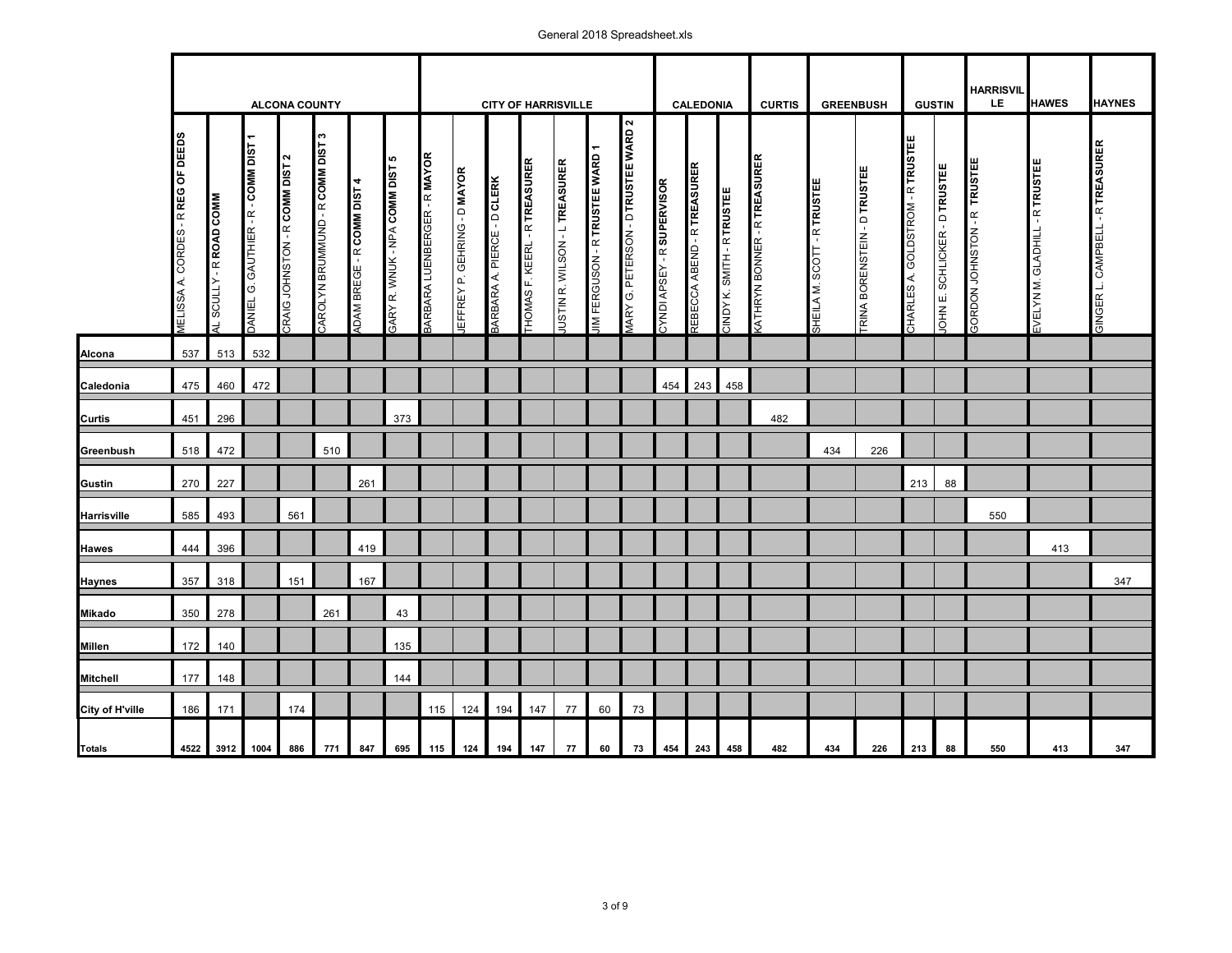## General 2018 Spreadsheet.xls

|                 |                                             |                               |                                      | <b>ALCONA COUNTY</b>               |                                      |                                  |                                          |                                     |                                     | <b>CITY OF HARRISVILLE</b>         |                                             |                                      |                                   |                                                        |                                       | <b>CALEDONIA</b>                   |                                   | <b>CURTIS</b>                      |                                | <b>GREENBUSH</b>             |                                  | <b>GUSTIN</b>                | <b>HARRISVIL</b><br>LE.                      | <b>HAWES</b>                             | <b>HAYNES</b>                           |
|-----------------|---------------------------------------------|-------------------------------|--------------------------------------|------------------------------------|--------------------------------------|----------------------------------|------------------------------------------|-------------------------------------|-------------------------------------|------------------------------------|---------------------------------------------|--------------------------------------|-----------------------------------|--------------------------------------------------------|---------------------------------------|------------------------------------|-----------------------------------|------------------------------------|--------------------------------|------------------------------|----------------------------------|------------------------------|----------------------------------------------|------------------------------------------|-----------------------------------------|
|                 | CORDES - R REG OF DEEDS<br><b>IELISSAA.</b> | <b>WINOO QVON B-ATINOS TR</b> | DANIEL G. GAUTHIER - R - COMM DIST 1 | $\sim$<br>TRIA MONSTON - ROOM DIST | S.<br>CAROLYN BRUMMUND - R COMM DIST | <b>DAM BREGE - R COMM DIST 4</b> | ю<br><b>GARY R. WNUK - NPA COMM DIST</b> | <b>SARBARA LUENBERGER - R MAYOR</b> | <b>IEFFREY P. GEHRING - D MAYOR</b> | <b>3ARBARA A. PIERCE - D CLERK</b> | <b><i>LHOMAS F. KEERL - R TREASURER</i></b> | <b>USTIN R. WILSON - L TREASURER</b> | ᡪ<br>IM FERGUSON - R TRUSTEE WARD | $\mathbf{\Omega}$<br>MARY G. PETERSON - D TRUSTEE WARD | - R SUPERVISOR<br><b>ABS AN IQNAC</b> | <b>REBECCA ABEND - R TREASURER</b> | <b>SINDY K. SMITH - R TRUSTEE</b> | <b>WIHRYN BONNER - RITREASURER</b> | - R TRUSTEE<br>SHEILA M. SCOTT | TRINA BORENSTEIN - D TRUSTEE | CHARLES A. GOLDSTROM - RITRUSTEE | OHN E. SCHLICKER - D TRUSTEE | <b>TRUSTEE</b><br><b>SORDON JOHNSTON - R</b> | <b>GLADHILL - R TRUSTEE</b><br>EVELYN M. | <b>GINGER L. CAMPBELL - R TREASURER</b> |
| Alcona          | 537                                         | 513                           | 532                                  |                                    |                                      |                                  |                                          |                                     |                                     |                                    |                                             |                                      |                                   |                                                        |                                       |                                    |                                   |                                    |                                |                              |                                  |                              |                                              |                                          |                                         |
| Caledonia       | 475                                         | 460                           | 472                                  |                                    |                                      |                                  |                                          |                                     |                                     |                                    |                                             |                                      |                                   |                                                        | 454                                   | 243                                | 458                               |                                    |                                |                              |                                  |                              |                                              |                                          |                                         |
| Curtis          | 451                                         | 296                           |                                      |                                    |                                      |                                  | 373                                      |                                     |                                     |                                    |                                             |                                      |                                   |                                                        |                                       |                                    |                                   | 482                                |                                |                              |                                  |                              |                                              |                                          |                                         |
| Greenbush       | 518                                         | 472                           |                                      |                                    | 510                                  |                                  |                                          |                                     |                                     |                                    |                                             |                                      |                                   |                                                        |                                       |                                    |                                   |                                    | 434                            | 226                          |                                  |                              |                                              |                                          |                                         |
| Gustin          | 270                                         | 227                           |                                      |                                    |                                      | 261                              |                                          |                                     |                                     |                                    |                                             |                                      |                                   |                                                        |                                       |                                    |                                   |                                    |                                |                              | 213                              | 88                           |                                              |                                          |                                         |
| Harrisville     | 585                                         | 493                           |                                      | 561                                |                                      |                                  |                                          |                                     |                                     |                                    |                                             |                                      |                                   |                                                        |                                       |                                    |                                   |                                    |                                |                              |                                  |                              | 550                                          |                                          |                                         |
| Hawes           | 444                                         | 396                           |                                      |                                    |                                      | 419                              |                                          |                                     |                                     |                                    |                                             |                                      |                                   |                                                        |                                       |                                    |                                   |                                    |                                |                              |                                  |                              |                                              | 413                                      |                                         |
| <b>Haynes</b>   | 357                                         | 318                           |                                      | 151                                |                                      | 167                              |                                          |                                     |                                     |                                    |                                             |                                      |                                   |                                                        |                                       |                                    |                                   |                                    |                                |                              |                                  |                              |                                              |                                          | 347                                     |
| Mikado          | 350                                         | 278                           |                                      |                                    | 261                                  |                                  | 43                                       |                                     |                                     |                                    |                                             |                                      |                                   |                                                        |                                       |                                    |                                   |                                    |                                |                              |                                  |                              |                                              |                                          |                                         |
| Millen          | 172                                         | 140                           |                                      |                                    |                                      |                                  | 135                                      |                                     |                                     |                                    |                                             |                                      |                                   |                                                        |                                       |                                    |                                   |                                    |                                |                              |                                  |                              |                                              |                                          |                                         |
| <b>Mitchell</b> | 177                                         | 148                           |                                      |                                    |                                      |                                  | 144                                      |                                     |                                     |                                    |                                             |                                      |                                   |                                                        |                                       |                                    |                                   |                                    |                                |                              |                                  |                              |                                              |                                          |                                         |
| City of H'ville | 186                                         | 171                           |                                      | 174                                |                                      |                                  |                                          | 115                                 | 124                                 | 194                                | 147                                         | 77                                   | 60                                | 73                                                     |                                       |                                    |                                   |                                    |                                |                              |                                  |                              |                                              |                                          |                                         |
| Totals          | 4522                                        |                               | 3912 1004                            | 886                                | 771                                  | 847                              | 695                                      | 115                                 |                                     | 124 194                            | 147                                         | 77                                   | 60                                | 73                                                     |                                       | 454 243                            | 458                               | 482                                | 434                            | 226                          | 213                              | 88                           | 550                                          | 413                                      | 347                                     |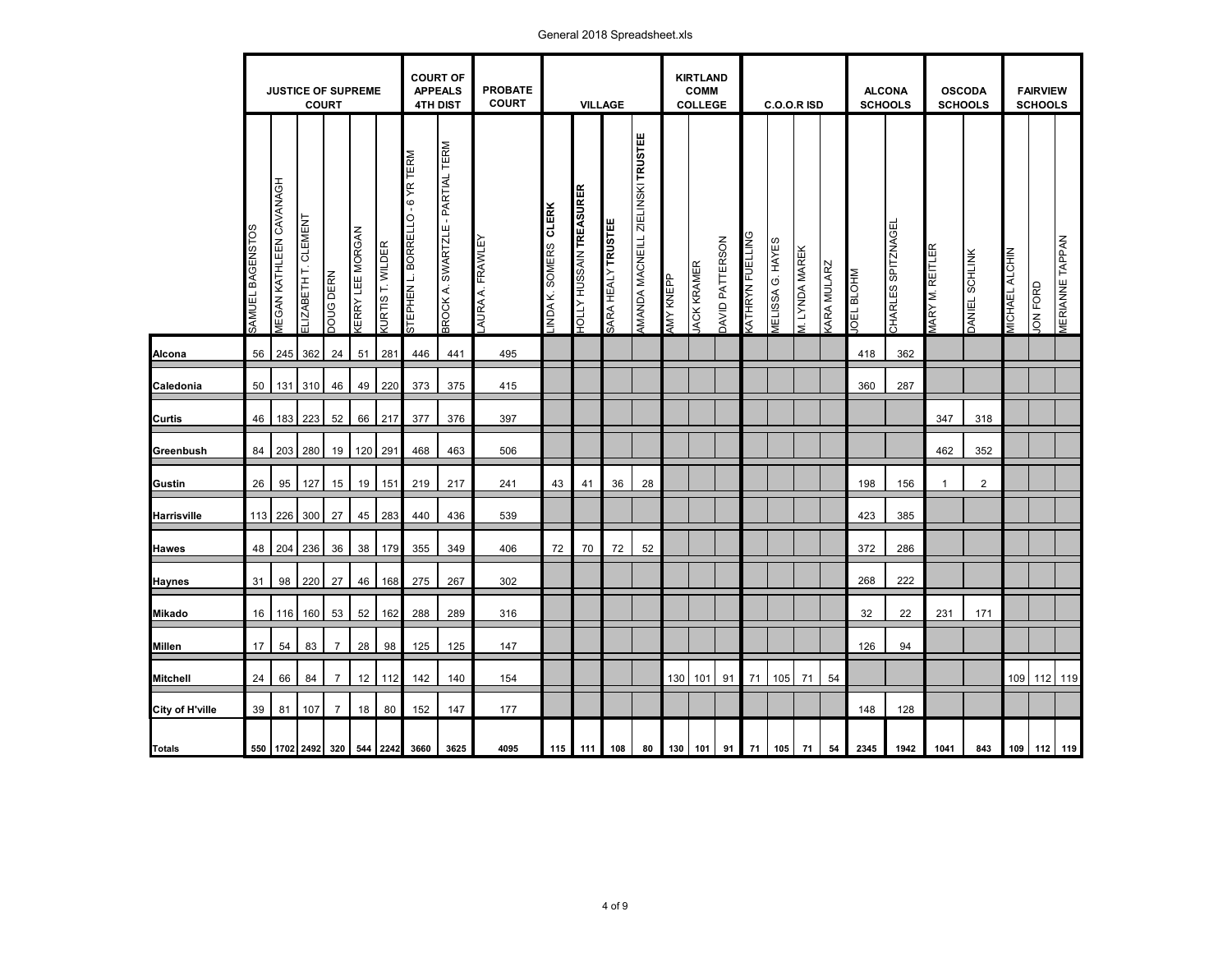## General 2018 Spreadsheet.xls

|                 |                  |                                       | <b>JUSTICE OF SUPREME</b><br><b>COURT</b> |                  |                        |                        | <b>COURT OF</b><br><b>APPEALS</b><br><b>4TH DIST</b> |                                         | <b>PROBATE</b><br><b>COURT</b> |                      |                                   | <b>VILLAGE</b>     |                                   |           | <b>KIRTLAND</b><br><b>COMM</b><br><b>COLLEGE</b> |                 |                        | <b>C.O.O.R ISD</b>      |                       |                   | <b>ALCONA</b><br><b>SCHOOLS</b> |                   | <b>OSCODA</b><br><b>SCHOOLS</b> |                       |                       | <b>FAIRVIEW</b><br><b>SCHOOLS</b> |                        |
|-----------------|------------------|---------------------------------------|-------------------------------------------|------------------|------------------------|------------------------|------------------------------------------------------|-----------------------------------------|--------------------------------|----------------------|-----------------------------------|--------------------|-----------------------------------|-----------|--------------------------------------------------|-----------------|------------------------|-------------------------|-----------------------|-------------------|---------------------------------|-------------------|---------------------------------|-----------------------|-----------------------|-----------------------------------|------------------------|
|                 | SAMUEL BAGENSTOS | <b><i>MEGAN KATHLEEN CAVANAGH</i></b> | ELIZABETH T. CLEMENT                      | <b>DOUG DERN</b> | <b>ÆRRY LEE MORGAN</b> | <b>URTIS T. WILDER</b> | STEPHEN L. BORRELLO - 6 YR TERM                      | <b>BROCK A. SWARTZLE - PARTIAL TERM</b> | AURA A. FRAWLEY                | INDA K. SOMERS CLERK | HUSSAIN TREASURER<br><b>ATTOF</b> | SARA HEALY TRUSTEE | AMANDA MACNEILL ZIELINSKI TRUSTEE | HAY KNEPP | <b>JACK KRAMER</b>                               | DAVID PATTERSON | <b>WIHRYN FUELLING</b> | <b>MELISSA G. HAYES</b> | <b>M. LYNDA MAREK</b> | <b>GRA MULARZ</b> | <b>NHOTE TOPIN</b>              | CHARLES SPITZNAGE | WARY M. REITLER                 | <b>DANIEL SCHLINK</b> | <b>MICHAEL ALCHIN</b> | JON FORD                          | <b>MERIANNE TAPPAN</b> |
| Alcona          | 56               | 245                                   | 362                                       | 24               | 51                     | 281                    | 446                                                  | 441                                     | 495                            |                      |                                   |                    |                                   |           |                                                  |                 |                        |                         |                       |                   | 418                             | 362               |                                 |                       |                       |                                   |                        |
| Caledonia       | 50               |                                       | 131 310                                   | 46               | 49                     | 220                    | 373                                                  | 375                                     | 415                            |                      |                                   |                    |                                   |           |                                                  |                 |                        |                         |                       |                   | 360                             | 287               |                                 |                       |                       |                                   |                        |
| Curtis          | 46               |                                       | 183 223                                   | 52               | 66                     | 217                    | 377                                                  | 376                                     | 397                            |                      |                                   |                    |                                   |           |                                                  |                 |                        |                         |                       |                   |                                 |                   | 347                             | 318                   |                       |                                   |                        |
| Greenbush       | 84               | 203                                   | 280                                       | 19               |                        | 120 291                | 468                                                  | 463                                     | 506                            |                      |                                   |                    |                                   |           |                                                  |                 |                        |                         |                       |                   |                                 |                   | 462                             | 352                   |                       |                                   |                        |
| Gustin          | 26               | 95                                    | 127                                       | 15               | 19                     | 151                    | 219                                                  | 217                                     | 241                            | 43                   | 41                                | 36                 | 28                                |           |                                                  |                 |                        |                         |                       |                   | 198                             | 156               | 1                               | $\overline{2}$        |                       |                                   |                        |
| Harrisville     |                  | 113 226 300                           |                                           | 27               | 45                     | 283                    | 440                                                  | 436                                     | 539                            |                      |                                   |                    |                                   |           |                                                  |                 |                        |                         |                       |                   | 423                             | 385               |                                 |                       |                       |                                   |                        |
| Hawes           | 48               | 204 236                               |                                           | 36               | 38                     | 179                    | 355                                                  | 349                                     | 406                            | 72                   | 70                                | 72                 | 52                                |           |                                                  |                 |                        |                         |                       |                   | 372                             | 286               |                                 |                       |                       |                                   |                        |
| Haynes          | 31               | 98                                    | 220                                       | 27               | 46                     | 168                    | 275                                                  | 267                                     | 302                            |                      |                                   |                    |                                   |           |                                                  |                 |                        |                         |                       |                   | 268                             | 222               |                                 |                       |                       |                                   |                        |
| Mikado          | 16               |                                       | 116 160                                   | 53               | 52                     | 162                    | 288                                                  | 289                                     | 316                            |                      |                                   |                    |                                   |           |                                                  |                 |                        |                         |                       |                   | 32                              | 22                | 231                             | 171                   |                       |                                   |                        |
| Millen          | 17 <sup>2</sup>  | 54                                    | 83                                        | $\overline{7}$   | 28                     | 98                     | 125                                                  | 125                                     | 147                            |                      |                                   |                    |                                   |           |                                                  |                 |                        |                         |                       |                   | 126                             | 94                |                                 |                       |                       |                                   |                        |
| <b>Mitchell</b> | 24               | 66                                    | 84                                        | $\overline{7}$   | 12                     | 112                    | 142                                                  | 140                                     | 154                            |                      |                                   |                    |                                   |           | 130 101                                          | 91              | 71                     | 105                     | 71                    | 54                |                                 |                   |                                 |                       |                       | 109 112 119                       |                        |
| City of H'ville | 39               | 81                                    | 107                                       | $\overline{7}$   | 18                     | 80                     | 152                                                  | 147                                     | 177                            |                      |                                   |                    |                                   |           |                                                  |                 |                        |                         |                       |                   | 148                             | 128               |                                 |                       |                       |                                   |                        |
| <b>Totals</b>   |                  |                                       | 550 1702 2492 320 544 2242                |                  |                        |                        | 3660                                                 | 3625                                    | 4095                           |                      | 115 111                           | 108                | 80                                |           | 130 101                                          | 91              |                        | 71 105                  | 71                    | 54                | 2345                            | 1942              | 1041                            | 843                   |                       | 109 112 119                       |                        |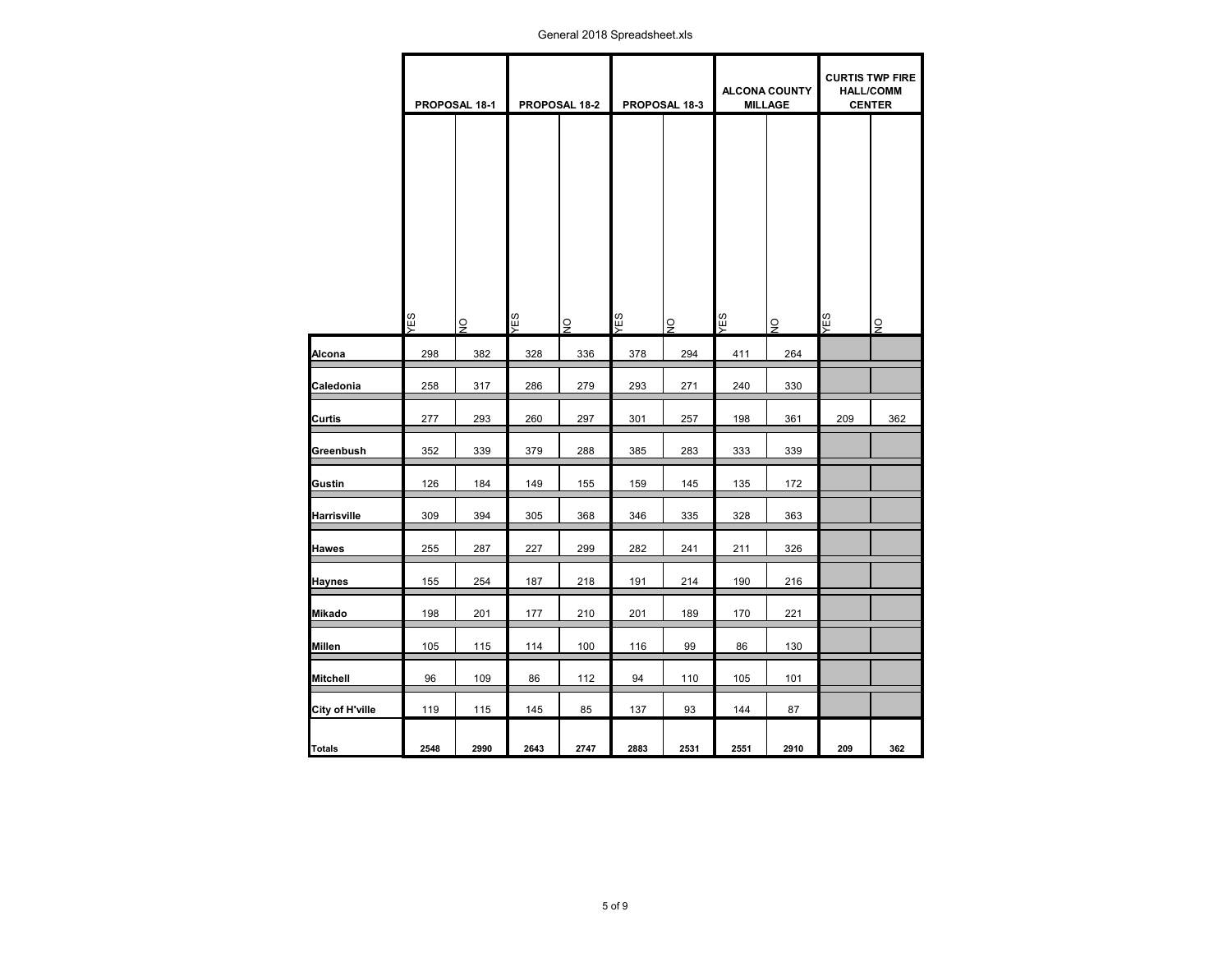General 2018 Spreadsheet.xls

|                 | PROPOSAL 18-1 |                | PROPOSAL 18-2 |                | PROPOSAL 18-3 |                | <b>ALCONA COUNTY</b><br><b>MILLAGE</b> |                | <b>HALL/COMM</b><br><b>CENTER</b> | <b>CURTIS TWP FIRE</b> |
|-----------------|---------------|----------------|---------------|----------------|---------------|----------------|----------------------------------------|----------------|-----------------------------------|------------------------|
|                 | <b>SEX</b>    | $\overline{9}$ | SEX           | $\overline{9}$ | YES           | $\overline{9}$ | SEX                                    | $\overline{S}$ | YES                               | $\overline{9}$         |
| Alcona          | 298           | 382            | 328           | 336            | 378           | 294            | 411                                    | 264            |                                   |                        |
| Caledonia       | 258           | 317            | 286           | 279            | 293           | 271            | 240                                    | 330            |                                   |                        |
| Curtis          | 277           | 293            | 260           | 297            | 301           | 257            | 198                                    | 361            | 209                               | 362                    |
| Greenbush       | 352           | 339            | 379           | 288            | 385           | 283            | 333                                    | 339            |                                   |                        |
| Gustin          | 126           | 184            | 149           | 155            | 159           | 145            | 135                                    | 172            |                                   |                        |
| Harrisville     | 309           | 394            | 305           | 368            | 346           | 335            | 328                                    | 363            |                                   |                        |
| Hawes           | 255           | 287            | 227           | 299            | 282           | 241            | 211                                    | 326            |                                   |                        |
| Haynes          | 155           | 254            | 187           | 218            | 191           | 214            | 190                                    | 216            |                                   |                        |
| Mikado          | 198           | 201            | 177           | 210            | 201           | 189            | 170                                    | 221            |                                   |                        |
| Millen          | 105           | 115            | 114           | 100            | 116           | 99             | 86                                     | 130            |                                   |                        |
| Mitchell        | 96            | 109            | 86            | 112            | 94            | 110            | 105                                    | 101            |                                   |                        |
| City of H'ville | 119           | 115            | 145           | 85             | 137           | 93             | 144                                    | 87             |                                   |                        |
| Totals          | 2548          | 2990           | 2643          | 2747           | 2883          | 2531           | 2551                                   | 2910           | 209                               | 362                    |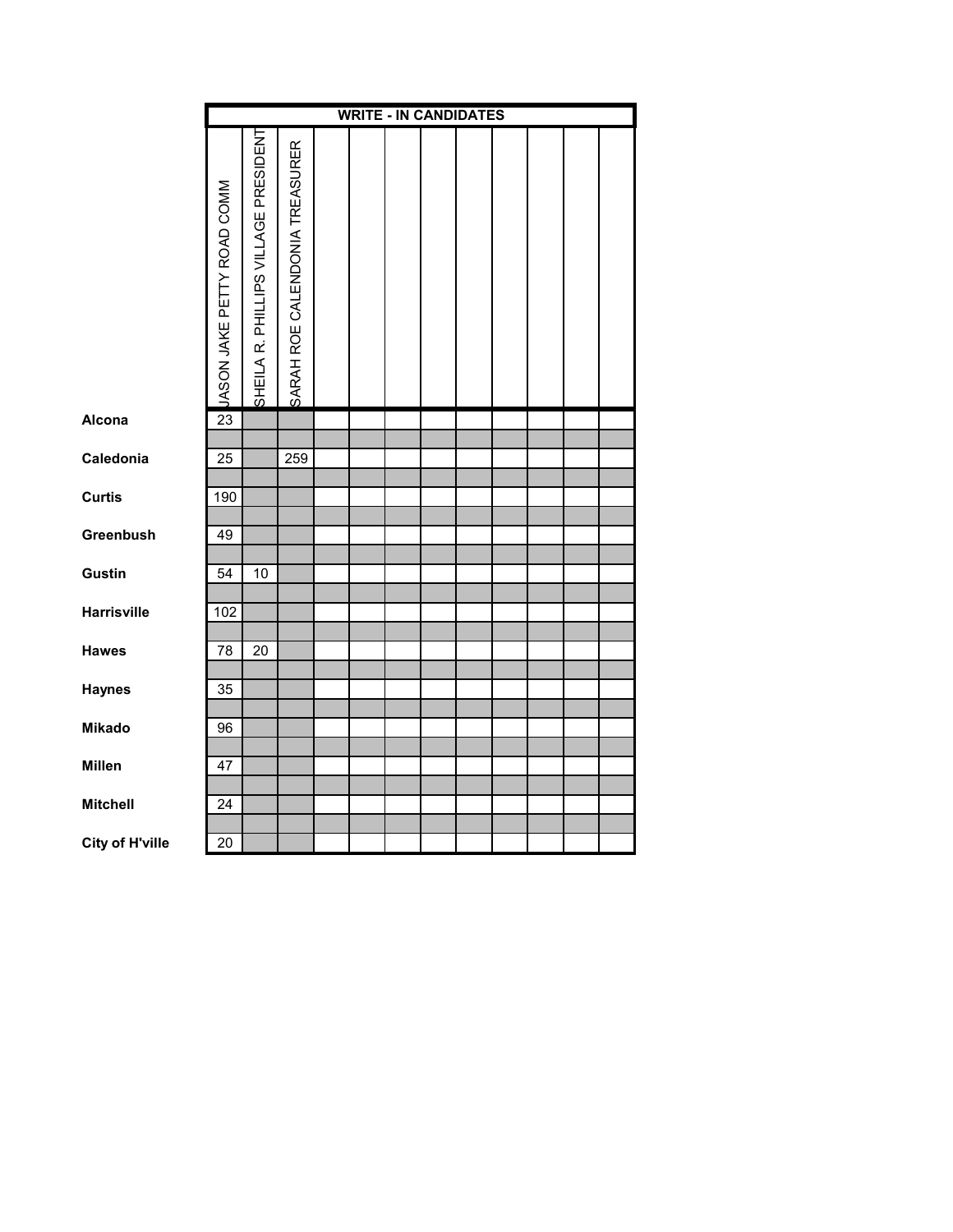|                        |                            |                                      |                                | <b>WRITE - IN CANDIDATES</b> |  |  |  |  |
|------------------------|----------------------------|--------------------------------------|--------------------------------|------------------------------|--|--|--|--|
|                        | JASON JAKE PETTY ROAD COMM | SHEILA R. PHILLIPS VILLAGE PRESIDENT | SARAH ROE CALENDONIA TREASURER |                              |  |  |  |  |
| Alcona                 | 23                         |                                      |                                |                              |  |  |  |  |
|                        |                            |                                      |                                |                              |  |  |  |  |
| Caledonia              | 25                         |                                      | 259                            |                              |  |  |  |  |
| <b>Curtis</b>          | 190                        |                                      |                                |                              |  |  |  |  |
| Greenbush              | 49                         |                                      |                                |                              |  |  |  |  |
| <b>Gustin</b>          | 54                         | 10                                   |                                |                              |  |  |  |  |
| <b>Harrisville</b>     | 102                        |                                      |                                |                              |  |  |  |  |
| <b>Hawes</b>           | 78                         | 20                                   |                                |                              |  |  |  |  |
| <b>Haynes</b>          | 35                         |                                      |                                |                              |  |  |  |  |
|                        |                            |                                      |                                |                              |  |  |  |  |
| <b>Mikado</b>          | 96                         |                                      |                                |                              |  |  |  |  |
| <b>Millen</b>          | 47                         |                                      |                                |                              |  |  |  |  |
| <b>Mitchell</b>        | 24                         |                                      |                                |                              |  |  |  |  |
|                        |                            |                                      |                                |                              |  |  |  |  |
| <b>City of H'ville</b> | $\overline{20}$            |                                      |                                |                              |  |  |  |  |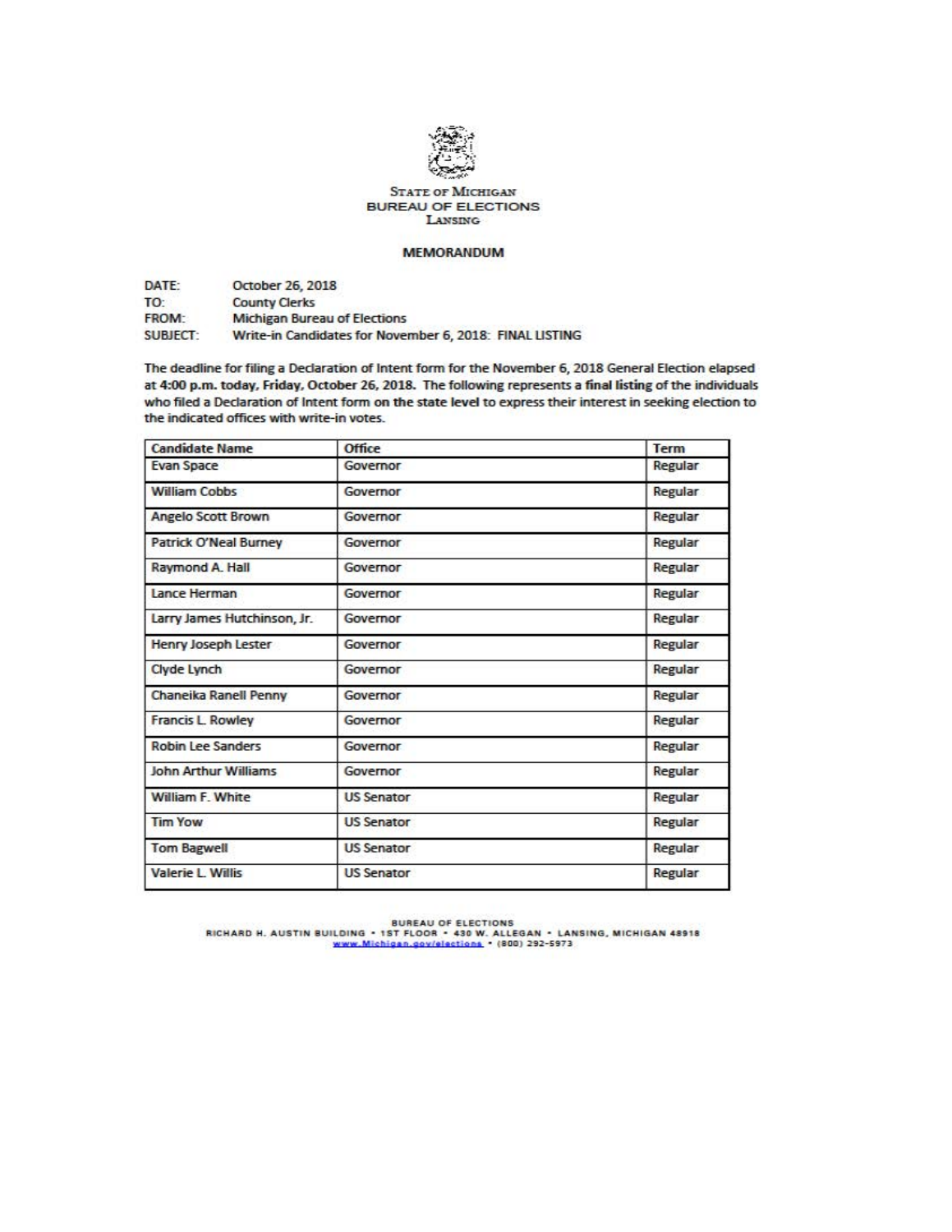

STATE OF MICHIGAN BUREAU OF ELECTIONS LANSING

# **MEMORANDUM**

DATE: TO: FROM: SUBJECT: October 26. 2018 County Oerks **Michigan Bureau of Elections** Write-in Candidates for November 6, 2018: FINAL LISTING

The deadline for filing a Declaration of Intent form for the November 6, 2018 General Election elapsed at 4:00 p.m. today. Friday. October 26. 2018. The following represents a final listing of the individuals who filed a Declaration of Intent form on the state level to express their interest in seeking election to the indicated offices with write-in votes.

| <b>Candidate Name</b>        | Office            | <b>Term</b> |
|------------------------------|-------------------|-------------|
| <b>Evan Space</b>            | Governor          | Regular     |
| <b>William Cobbs</b>         | Governor          | Regular     |
| <b>Angelo Scott Brown</b>    | Governor          | Regular     |
| <b>Patrick O'Neal Burney</b> | Governor          | Regular     |
| Raymond A. Hall              | Governor          | Regular     |
| <b>Lance Herman</b>          | Governor          | Regular     |
| Larry James Hutchinson, Jr.  | Governor          | Regular     |
| Henry Joseph Lester          | Governor          | Regular     |
| Clyde Lynch                  | Governor          | Regular     |
| <b>Chaneika Ranell Penny</b> | Governor          | Regular     |
| <b>Francis L. Rowley</b>     | Governor          | Regular     |
| <b>Robin Lee Sanders</b>     | Governor          | Regular     |
| <b>John Arthur Williams</b>  | Governor          | Regular     |
| <b>William F. White</b>      | <b>US Senator</b> | Regular     |
| <b>Tim Yow</b>               | <b>US Senator</b> | Regular     |
| <b>Tom Bagwell</b>           | <b>US Senator</b> | Regular     |
| <b>Valerie L. Willis</b>     | <b>US Senator</b> | Regular     |

BUREAU OF ELECTIONS<br>RICHARD H. AUSTIN BUILDING • 1ST FLOOR • 430 W. ALLEGAN • LANSING, MICHIGAN 48918<br>WWW.Michigan.gov/elections • (800) 292-5973